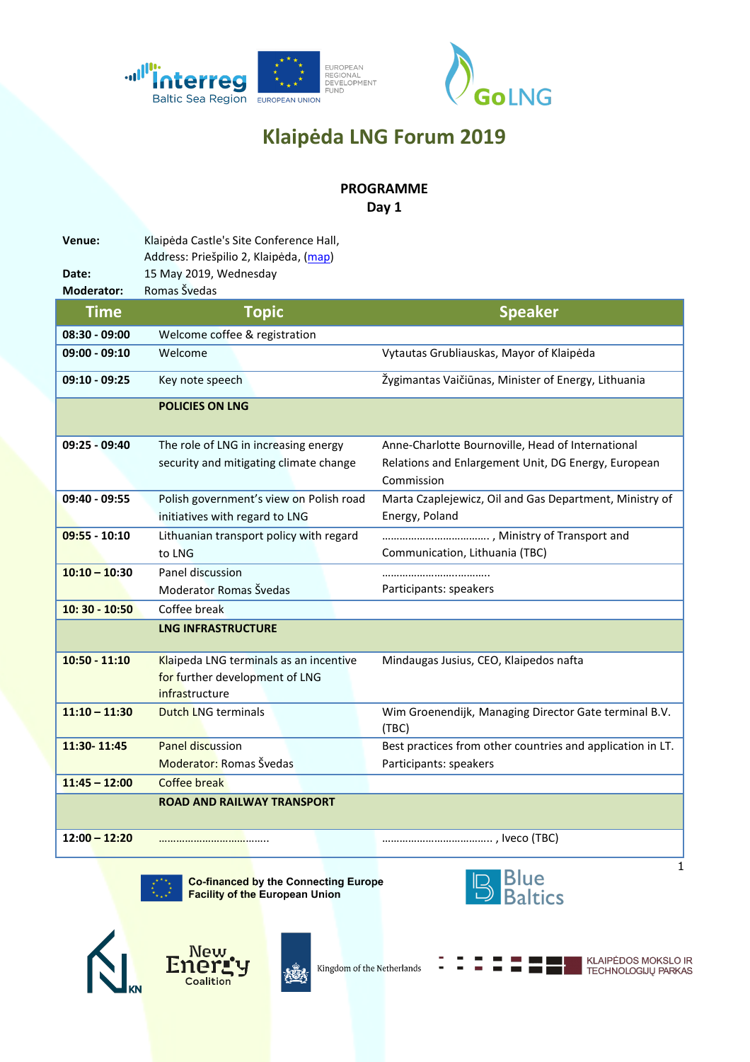



## **Klaipėda LNG Forum 2019**

## **PROGRAMME**

**Day 1**

**Venue:** Klaipėda Castle's Site Conference Hall, Address: Priešpilio 2, Klaipėda, [\(map\)](https://www.google.com/maps/place/Klaip%C4%97dos+piliaviet%C4%97s+rytin%C4%97s+kurtinos+sal%C4%97/@55.7178801,21.1179677,14z/data=!4m5!3m4!1s0x0:0x2d269bd4494f16a4!8m2!3d55.7055863!4d21.1302871) **Date:** 15 May 2019, Wednesday **Moderator:** Romas Švedas **Time Topic Speaker 08:30 - 09:00** Welcome coffee & registration **09:00 - 09:10** Welcome Vytautas Grubliauskas, Mayor of Klaipėda **09:10 - 09:25** Key note speech Žygimantas Vaičiūnas, Minister of Energy, Lithuania **POLICIES ON LNG 09:25 - 09:40** The role of LNG in increasing energy security and mitigating climate change Anne-Charlotte Bournoville, Head of International Relations and Enlargement Unit, DG Energy, European Commission **09:40 - 09:55** Polish government's view on Polish road initiatives with regard to LNG Marta Czaplejewicz, Oil and Gas Department, Ministry of Energy, Poland **09:55 - 10:10** Lithuanian transport policy with regard to LNG ………………………………. , Ministry of Transport and Communication, Lithuania (TBC) **10:10 – 10:30** Panel discussion Moderator Romas Švedas ……………………..……….. Participants: speakers **10: 30 - 10:50** Coffee break **LNG INFRASTRUCTURE 10:50 - 11:10** Klaipeda LNG terminals as an incentive for further development of LNG **infrastructure** Mindaugas Jusius, CEO, Klaipedos nafta **11:10 – 11:30** Dutch LNG terminals Wim Groenendijk, Managing Director Gate terminal B.V. (TBC) **11:30- 11:45** Panel discussion Moderator: Romas Švedas Best practices from other countries and application in LT. Participants: speakers **11:45 – 12:00** Coffee break **ROAD AND RAILWAY TRANSPORT 12:00 – 12:20** ……………………………….. ……………………………….. , Iveco (TBC)



**Co-financed by the Connecting Europe Facility of the European Union** 







Kingdom of the Netherlands

**KLAIPĖDOS MOKSLO IR TECHNOLOGIJŲ PARKAS** 

1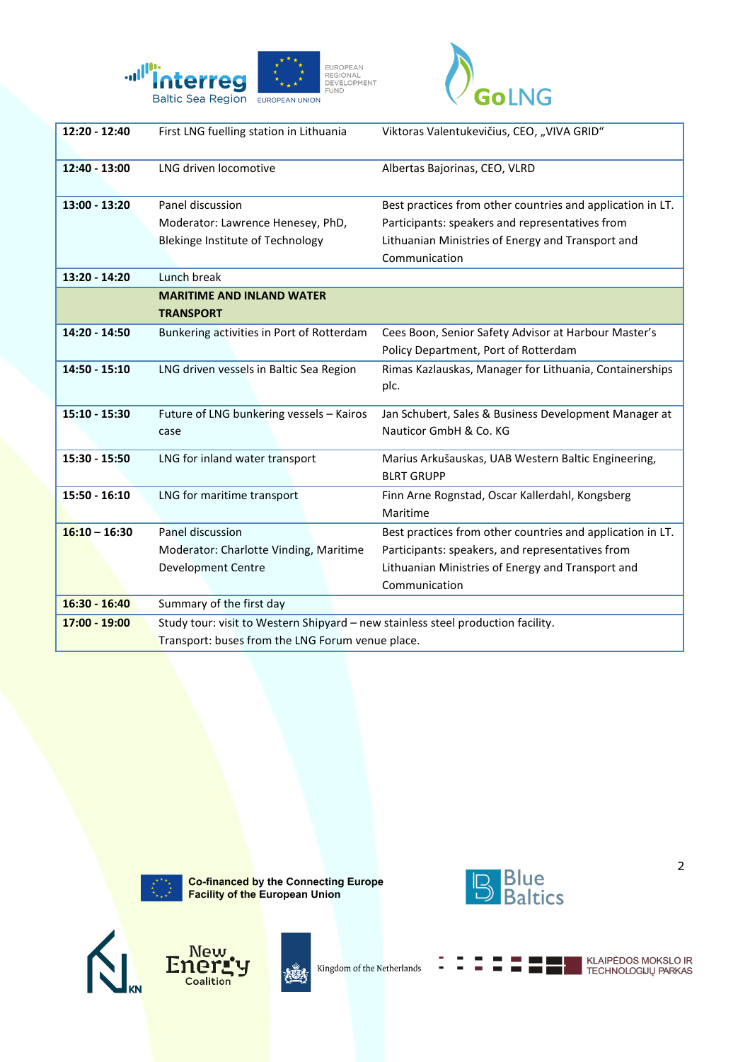



| 12:20 - 12:40   | First LNG fuelling station in Lithuania                                          | Viktoras Valentukevičius, CEO, "VIVA GRID"                 |
|-----------------|----------------------------------------------------------------------------------|------------------------------------------------------------|
| 12:40 - 13:00   | LNG driven locomotive                                                            | Albertas Bajorinas, CEO, VLRD                              |
| 13:00 - 13:20   | Panel discussion                                                                 | Best practices from other countries and application in LT. |
|                 | Moderator: Lawrence Henesey, PhD,                                                | Participants: speakers and representatives from            |
|                 | Blekinge Institute of Technology                                                 | Lithuanian Ministries of Energy and Transport and          |
|                 |                                                                                  | Communication                                              |
| $13:20 - 14:20$ | Lunch break                                                                      |                                                            |
|                 | <b>MARITIME AND INLAND WATER</b>                                                 |                                                            |
|                 | <b>TRANSPORT</b>                                                                 |                                                            |
| 14:20 - 14:50   | Bunkering activities in Port of Rotterdam                                        | Cees Boon, Senior Safety Advisor at Harbour Master's       |
|                 |                                                                                  | Policy Department, Port of Rotterdam                       |
| 14:50 - 15:10   | LNG driven vessels in Baltic Sea Region                                          | Rimas Kazlauskas, Manager for Lithuania, Containerships    |
|                 |                                                                                  | plc.                                                       |
|                 |                                                                                  |                                                            |
| 15:10 - 15:30   | Future of LNG bunkering vessels - Kairos                                         | Jan Schubert, Sales & Business Development Manager at      |
|                 | case                                                                             | Nauticor GmbH & Co. KG                                     |
| 15:30 - 15:50   | LNG for inland water transport                                                   | Marius Arkušauskas, UAB Western Baltic Engineering,        |
|                 |                                                                                  | <b>BLRT GRUPP</b>                                          |
| 15:50 - 16:10   | LNG for maritime transport                                                       | Finn Arne Rognstad, Oscar Kallerdahl, Kongsberg            |
|                 |                                                                                  | Maritime                                                   |
| $16:10 - 16:30$ | Panel discussion                                                                 | Best practices from other countries and application in LT. |
|                 | Moderator: Charlotte Vinding, Maritime                                           | Participants: speakers, and representatives from           |
|                 | <b>Development Centre</b>                                                        | Lithuanian Ministries of Energy and Transport and          |
|                 |                                                                                  | Communication                                              |
| 16:30 - 16:40   | Summary of the first day                                                         |                                                            |
| 17:00 - 19:00   | Study tour: visit to Western Shipyard - new stainless steel production facility. |                                                            |
|                 | Transport: buses from the LNG Forum venue place.                                 |                                                            |



**New** 

 $\overline{\phantom{a}}$  Coalition

Energ

 $\overline{\mathsf{N}}$ 

Co-financed by the Connecting Europe<br>Facility of the European Union

兤

Kingdom of the Netherlands



ℸ

KLAIPĖDOS MOKSLO IR<br>TECHNOLOGIJŲ PARKAS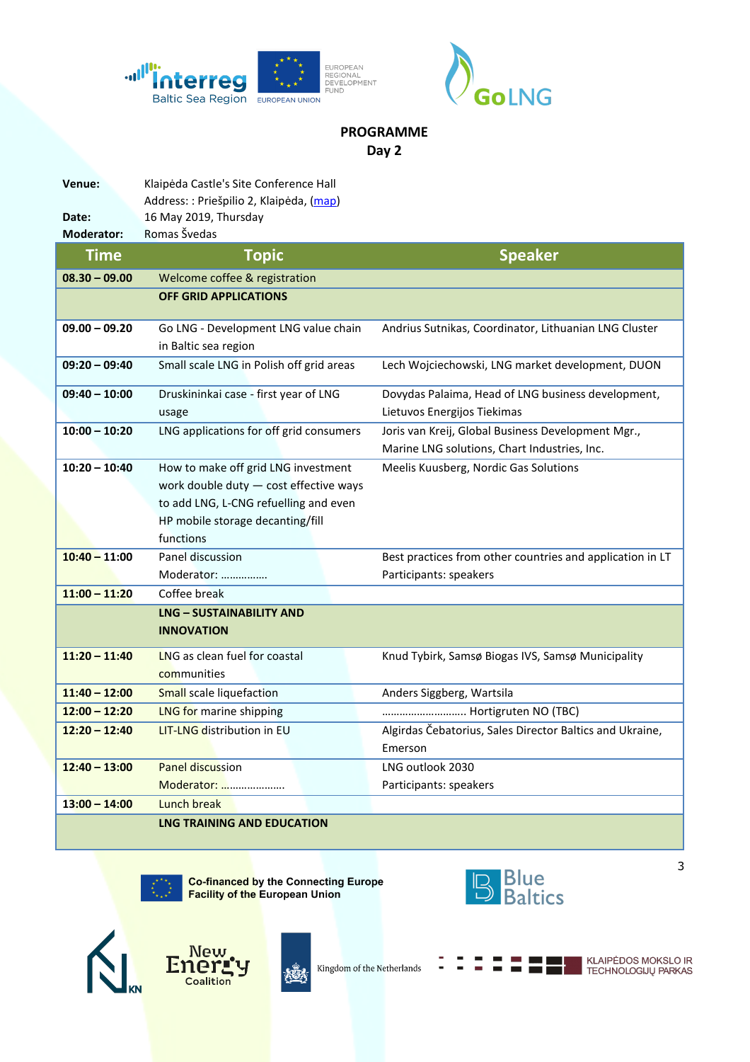



## **PROGRAMME Day 2**

| Venue:            | Klaipėda Castle's Site Conference Hall   |                                                           |
|-------------------|------------------------------------------|-----------------------------------------------------------|
|                   | Address: : Priešpilio 2, Klaipėda, (map) |                                                           |
| Date:             | 16 May 2019, Thursday                    |                                                           |
| <b>Moderator:</b> | Romas Švedas                             |                                                           |
| <b>Time</b>       | <b>Topic</b>                             | <b>Speaker</b>                                            |
| $08.30 - 09.00$   | Welcome coffee & registration            |                                                           |
|                   | <b>OFF GRID APPLICATIONS</b>             |                                                           |
| $09.00 - 09.20$   | Go LNG - Development LNG value chain     | Andrius Sutnikas, Coordinator, Lithuanian LNG Cluster     |
|                   | in Baltic sea region                     |                                                           |
| $09:20 - 09:40$   | Small scale LNG in Polish off grid areas | Lech Wojciechowski, LNG market development, DUON          |
| $09:40 - 10:00$   | Druskininkai case - first year of LNG    | Dovydas Palaima, Head of LNG business development,        |
|                   | usage                                    | Lietuvos Energijos Tiekimas                               |
| $10:00 - 10:20$   | LNG applications for off grid consumers  | Joris van Kreij, Global Business Development Mgr.,        |
|                   |                                          | Marine LNG solutions, Chart Industries, Inc.              |
| $10:20 - 10:40$   | How to make off grid LNG investment      | Meelis Kuusberg, Nordic Gas Solutions                     |
|                   | work double duty - cost effective ways   |                                                           |
|                   | to add LNG, L-CNG refuelling and even    |                                                           |
|                   | HP mobile storage decanting/fill         |                                                           |
|                   | functions                                |                                                           |
| $10:40 - 11:00$   | Panel discussion                         | Best practices from other countries and application in LT |
|                   | Moderator:                               | Participants: speakers                                    |
| $11:00 - 11:20$   | Coffee break                             |                                                           |
|                   | <b>LNG - SUSTAINABILITY AND</b>          |                                                           |
|                   | <b>INNOVATION</b>                        |                                                           |
| $11:20 - 11:40$   | LNG as clean fuel for coastal            | Knud Tybirk, Samsø Biogas IVS, Samsø Municipality         |
|                   | communities                              |                                                           |
| $11:40 - 12:00$   | <b>Small</b> scale liquefaction          | Anders Siggberg, Wartsila                                 |
| $12:00 - 12:20$   | <b>LNG for marine shipping</b>           | Hortigruten NO (TBC)                                      |
| $12:20 - 12:40$   | <b>LIT-LNG distribution in EU</b>        | Algirdas Čebatorius, Sales Director Baltics and Ukraine,  |
|                   |                                          | Emerson                                                   |
| $12:40 - 13:00$   | <b>Panel discussion</b>                  | LNG outlook 2030                                          |
|                   | Moderator:                               | Participants: speakers                                    |
| $13:00 - 14:00$   | Lunch break                              |                                                           |
|                   | <b>LNG TRAINING AND EDUCATION</b>        |                                                           |

Co-financed by the Connecting Europe<br>Facility of the European Union



٦







KLAIPĖDOS MOKSLO IR<br>TECHNOLOGIJŲ PARKAS

3